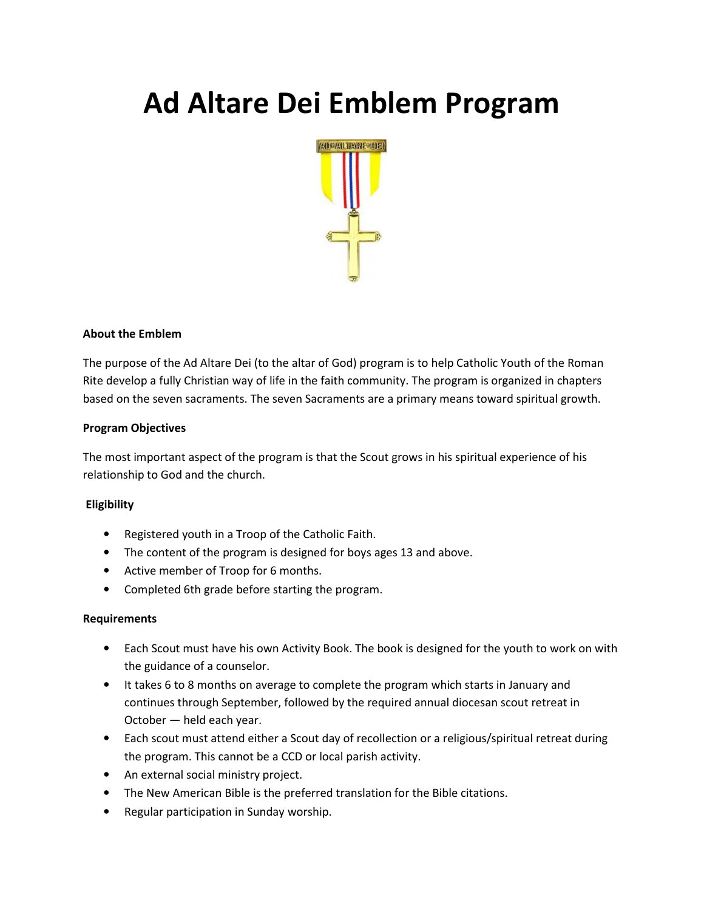# Ad Altare Dei Emblem Program



## About the Emblem

The purpose of the Ad Altare Dei (to the altar of God) program is to help Catholic Youth of the Roman Rite develop a fully Christian way of life in the faith community. The program is organized in chapters based on the seven sacraments. The seven Sacraments are a primary means toward spiritual growth.

## Program Objectives

The most important aspect of the program is that the Scout grows in his spiritual experience of his relationship to God and the church.

## Eligibility

- Registered youth in a Troop of the Catholic Faith.
- The content of the program is designed for boys ages 13 and above.
- Active member of Troop for 6 months.
- Completed 6th grade before starting the program.

#### Requirements

- Each Scout must have his own Activity Book. The book is designed for the youth to work on with the guidance of a counselor.
- It takes 6 to 8 months on average to complete the program which starts in January and continues through September, followed by the required annual diocesan scout retreat in October — held each year.
- Each scout must attend either a Scout day of recollection or a religious/spiritual retreat during the program. This cannot be a CCD or local parish activity.
- An external social ministry project.
- The New American Bible is the preferred translation for the Bible citations.
- Regular participation in Sunday worship.